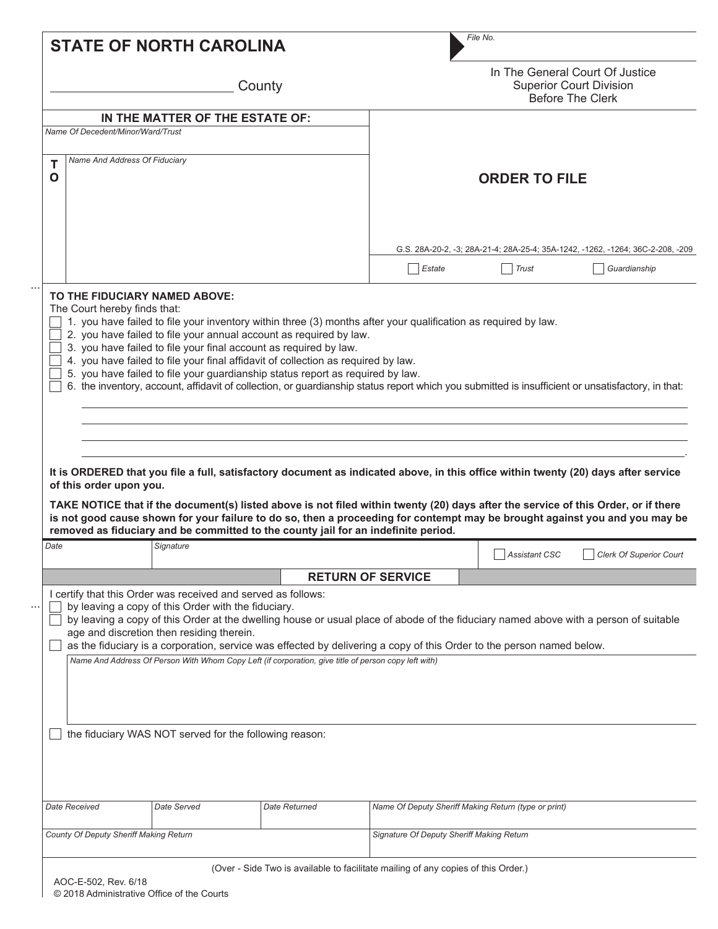| In The General Court Of Justice<br><b>Superior Court Division</b><br>County<br>Before The Clerk<br>IN THE MATTER OF THE ESTATE OF:<br>Name Of Decedent/Minor/Ward/Trust<br>Name And Address Of Fiduciary<br>Т<br>$\mathbf 0$<br><b>ORDER TO FILE</b><br>G.S. 28A-20-2, -3; 28A-21-4; 28A-25-4; 35A-1242, -1262, -1264; 36C-2-208, -209<br>Guardianship<br>Estate<br>Trust<br>TO THE FIDUCIARY NAMED ABOVE:<br>The Court hereby finds that:<br>1. you have failed to file your inventory within three (3) months after your qualification as required by law.<br>2. you have failed to file your annual account as required by law.<br>3. you have failed to file your final account as required by law.<br>4. you have failed to file your final affidavit of collection as required by law.<br>5. you have failed to file your guardianship status report as required by law.<br>6. the inventory, account, affidavit of collection, or guardianship status report which you submitted is insufficient or unsatisfactory, in that:<br>It is ORDERED that you file a full, satisfactory document as indicated above, in this office within twenty (20) days after service<br>of this order upon you.<br>TAKE NOTICE that if the document(s) listed above is not filed within twenty (20) days after the service of this Order, or if there<br>is not good cause shown for your failure to do so, then a proceeding for contempt may be brought against you and you may be<br>removed as fiduciary and be committed to the county jail for an indefinite period.<br>Date<br>Signature<br>Clerk Of Superior Court<br>Assistant CSC<br><b>RETURN OF SERVICE</b><br>I certify that this Order was received and served as follows:<br>by leaving a copy of this Order with the fiduciary.<br>by leaving a copy of this Order at the dwelling house or usual place of abode of the fiduciary named above with a person of suitable<br>age and discretion then residing therein.<br>as the fiduciary is a corporation, service was effected by delivering a copy of this Order to the person named below.<br>Name And Address Of Person With Whom Copy Left (if corporation, give title of person copy left with)<br>the fiduciary WAS NOT served for the following reason:<br>Date Served<br>Name Of Deputy Sheriff Making Return (type or print)<br>Date Received<br>Date Returned<br>County Of Deputy Sheriff Making Return<br>Signature Of Deputy Sheriff Making Return |  | File No. |  |
|----------------------------------------------------------------------------------------------------------------------------------------------------------------------------------------------------------------------------------------------------------------------------------------------------------------------------------------------------------------------------------------------------------------------------------------------------------------------------------------------------------------------------------------------------------------------------------------------------------------------------------------------------------------------------------------------------------------------------------------------------------------------------------------------------------------------------------------------------------------------------------------------------------------------------------------------------------------------------------------------------------------------------------------------------------------------------------------------------------------------------------------------------------------------------------------------------------------------------------------------------------------------------------------------------------------------------------------------------------------------------------------------------------------------------------------------------------------------------------------------------------------------------------------------------------------------------------------------------------------------------------------------------------------------------------------------------------------------------------------------------------------------------------------------------------------------------------------------------------------------------------------------------------------------------------------------------------------------------------------------------------------------------------------------------------------------------------------------------------------------------------------------------------------------------------------------------------------------------------------------------------------------------------------------------------------------------------------------------------------------------------------------------------------------------------------------------------------------|--|----------|--|
|                                                                                                                                                                                                                                                                                                                                                                                                                                                                                                                                                                                                                                                                                                                                                                                                                                                                                                                                                                                                                                                                                                                                                                                                                                                                                                                                                                                                                                                                                                                                                                                                                                                                                                                                                                                                                                                                                                                                                                                                                                                                                                                                                                                                                                                                                                                                                                                                                                                                      |  |          |  |
|                                                                                                                                                                                                                                                                                                                                                                                                                                                                                                                                                                                                                                                                                                                                                                                                                                                                                                                                                                                                                                                                                                                                                                                                                                                                                                                                                                                                                                                                                                                                                                                                                                                                                                                                                                                                                                                                                                                                                                                                                                                                                                                                                                                                                                                                                                                                                                                                                                                                      |  |          |  |
|                                                                                                                                                                                                                                                                                                                                                                                                                                                                                                                                                                                                                                                                                                                                                                                                                                                                                                                                                                                                                                                                                                                                                                                                                                                                                                                                                                                                                                                                                                                                                                                                                                                                                                                                                                                                                                                                                                                                                                                                                                                                                                                                                                                                                                                                                                                                                                                                                                                                      |  |          |  |
|                                                                                                                                                                                                                                                                                                                                                                                                                                                                                                                                                                                                                                                                                                                                                                                                                                                                                                                                                                                                                                                                                                                                                                                                                                                                                                                                                                                                                                                                                                                                                                                                                                                                                                                                                                                                                                                                                                                                                                                                                                                                                                                                                                                                                                                                                                                                                                                                                                                                      |  |          |  |
|                                                                                                                                                                                                                                                                                                                                                                                                                                                                                                                                                                                                                                                                                                                                                                                                                                                                                                                                                                                                                                                                                                                                                                                                                                                                                                                                                                                                                                                                                                                                                                                                                                                                                                                                                                                                                                                                                                                                                                                                                                                                                                                                                                                                                                                                                                                                                                                                                                                                      |  |          |  |
|                                                                                                                                                                                                                                                                                                                                                                                                                                                                                                                                                                                                                                                                                                                                                                                                                                                                                                                                                                                                                                                                                                                                                                                                                                                                                                                                                                                                                                                                                                                                                                                                                                                                                                                                                                                                                                                                                                                                                                                                                                                                                                                                                                                                                                                                                                                                                                                                                                                                      |  |          |  |
|                                                                                                                                                                                                                                                                                                                                                                                                                                                                                                                                                                                                                                                                                                                                                                                                                                                                                                                                                                                                                                                                                                                                                                                                                                                                                                                                                                                                                                                                                                                                                                                                                                                                                                                                                                                                                                                                                                                                                                                                                                                                                                                                                                                                                                                                                                                                                                                                                                                                      |  |          |  |
|                                                                                                                                                                                                                                                                                                                                                                                                                                                                                                                                                                                                                                                                                                                                                                                                                                                                                                                                                                                                                                                                                                                                                                                                                                                                                                                                                                                                                                                                                                                                                                                                                                                                                                                                                                                                                                                                                                                                                                                                                                                                                                                                                                                                                                                                                                                                                                                                                                                                      |  |          |  |
|                                                                                                                                                                                                                                                                                                                                                                                                                                                                                                                                                                                                                                                                                                                                                                                                                                                                                                                                                                                                                                                                                                                                                                                                                                                                                                                                                                                                                                                                                                                                                                                                                                                                                                                                                                                                                                                                                                                                                                                                                                                                                                                                                                                                                                                                                                                                                                                                                                                                      |  |          |  |
|                                                                                                                                                                                                                                                                                                                                                                                                                                                                                                                                                                                                                                                                                                                                                                                                                                                                                                                                                                                                                                                                                                                                                                                                                                                                                                                                                                                                                                                                                                                                                                                                                                                                                                                                                                                                                                                                                                                                                                                                                                                                                                                                                                                                                                                                                                                                                                                                                                                                      |  |          |  |
|                                                                                                                                                                                                                                                                                                                                                                                                                                                                                                                                                                                                                                                                                                                                                                                                                                                                                                                                                                                                                                                                                                                                                                                                                                                                                                                                                                                                                                                                                                                                                                                                                                                                                                                                                                                                                                                                                                                                                                                                                                                                                                                                                                                                                                                                                                                                                                                                                                                                      |  |          |  |
|                                                                                                                                                                                                                                                                                                                                                                                                                                                                                                                                                                                                                                                                                                                                                                                                                                                                                                                                                                                                                                                                                                                                                                                                                                                                                                                                                                                                                                                                                                                                                                                                                                                                                                                                                                                                                                                                                                                                                                                                                                                                                                                                                                                                                                                                                                                                                                                                                                                                      |  |          |  |
|                                                                                                                                                                                                                                                                                                                                                                                                                                                                                                                                                                                                                                                                                                                                                                                                                                                                                                                                                                                                                                                                                                                                                                                                                                                                                                                                                                                                                                                                                                                                                                                                                                                                                                                                                                                                                                                                                                                                                                                                                                                                                                                                                                                                                                                                                                                                                                                                                                                                      |  |          |  |
|                                                                                                                                                                                                                                                                                                                                                                                                                                                                                                                                                                                                                                                                                                                                                                                                                                                                                                                                                                                                                                                                                                                                                                                                                                                                                                                                                                                                                                                                                                                                                                                                                                                                                                                                                                                                                                                                                                                                                                                                                                                                                                                                                                                                                                                                                                                                                                                                                                                                      |  |          |  |